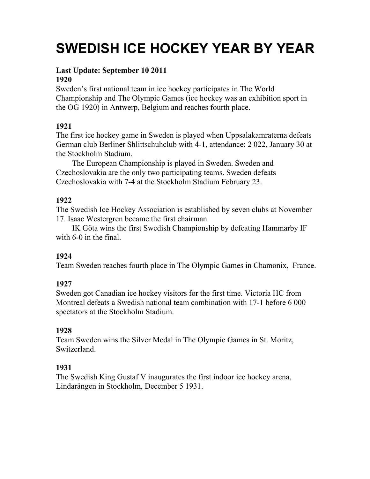# **SWEDISH ICE HOCKEY YEAR BY YEAR**

# **Last Update: September 10 2011**

## **1920**

Sweden's first national team in ice hockey participates in The World Championship and The Olympic Games (ice hockey was an exhibition sport in the OG 1920) in Antwerp, Belgium and reaches fourth place.

## **1921**

The first ice hockey game in Sweden is played when Uppsalakamraterna defeats German club Berliner Shlittschuhclub with 4-1, attendance: 2 022, January 30 at the Stockholm Stadium.

The European Championship is played in Sweden. Sweden and Czechoslovakia are the only two participating teams. Sweden defeats Czechoslovakia with 7-4 at the Stockholm Stadium February 23.

## **1922**

The Swedish Ice Hockey Association is established by seven clubs at November 17. Isaac Westergren became the first chairman.

IK Göta wins the first Swedish Championship by defeating Hammarby IF with 6-0 in the final.

## **1924**

Team Sweden reaches fourth place in The Olympic Games in Chamonix, France.

## **1927**

Sweden got Canadian ice hockey visitors for the first time. Victoria HC from Montreal defeats a Swedish national team combination with 17-1 before 6 000 spectators at the Stockholm Stadium.

## **1928**

Team Sweden wins the Silver Medal in The Olympic Games in St. Moritz, Switzerland.

## **1931**

The Swedish King Gustaf V inaugurates the first indoor ice hockey arena, Lindarängen in Stockholm, December 5 1931.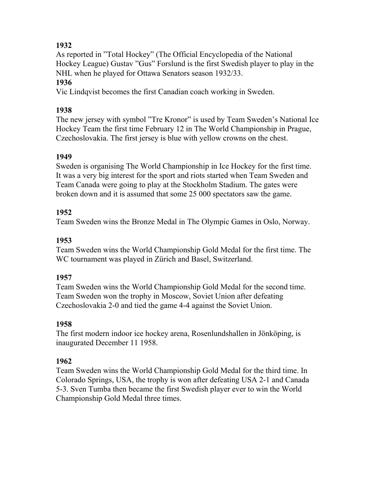As reported in "Total Hockey" (The Official Encyclopedia of the National Hockey League) Gustav "Gus" Forslund is the first Swedish player to play in the NHL when he played for Ottawa Senators season 1932/33.

## **1936**

Vic Lindqvist becomes the first Canadian coach working in Sweden.

## **1938**

The new jersey with symbol "Tre Kronor" is used by Team Sweden's National Ice Hockey Team the first time February 12 in The World Championship in Prague, Czechoslovakia. The first jersey is blue with yellow crowns on the chest.

## **1949**

Sweden is organising The World Championship in Ice Hockey for the first time. It was a very big interest for the sport and riots started when Team Sweden and Team Canada were going to play at the Stockholm Stadium. The gates were broken down and it is assumed that some 25 000 spectators saw the game.

## **1952**

Team Sweden wins the Bronze Medal in The Olympic Games in Oslo, Norway.

## **1953**

Team Sweden wins the World Championship Gold Medal for the first time. The WC tournament was played in Zürich and Basel, Switzerland.

## **1957**

Team Sweden wins the World Championship Gold Medal for the second time. Team Sweden won the trophy in Moscow, Soviet Union after defeating Czechoslovakia 2-0 and tied the game 4-4 against the Soviet Union.

## **1958**

The first modern indoor ice hockey arena, Rosenlundshallen in Jönköping, is inaugurated December 11 1958.

## **1962**

Team Sweden wins the World Championship Gold Medal for the third time. In Colorado Springs, USA, the trophy is won after defeating USA 2-1 and Canada 5-3. Sven Tumba then became the first Swedish player ever to win the World Championship Gold Medal three times.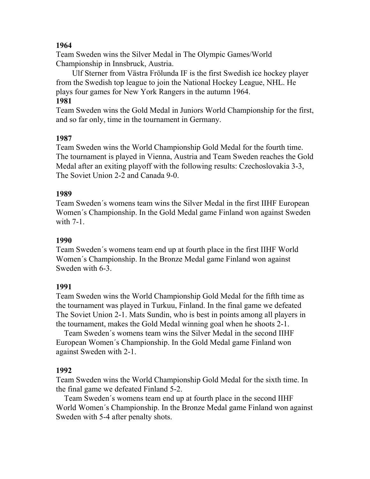Team Sweden wins the Silver Medal in The Olympic Games/World Championship in Innsbruck, Austria.

Ulf Sterner from Västra Frölunda IF is the first Swedish ice hockey player from the Swedish top league to join the National Hockey League, NHL. He plays four games for New York Rangers in the autumn 1964.

### **1981**

Team Sweden wins the Gold Medal in Juniors World Championship for the first, and so far only, time in the tournament in Germany.

#### **1987**

Team Sweden wins the World Championship Gold Medal for the fourth time. The tournament is played in Vienna, Austria and Team Sweden reaches the Gold Medal after an exiting playoff with the following results: Czechoslovakia 3-3, The Soviet Union 2-2 and Canada 9-0.

#### **1989**

Team Sweden´s womens team wins the Silver Medal in the first IIHF European Women´s Championship. In the Gold Medal game Finland won against Sweden with 7-1.

#### **1990**

Team Sweden´s womens team end up at fourth place in the first IIHF World Women´s Championship. In the Bronze Medal game Finland won against Sweden with 6-3.

#### **1991**

Team Sweden wins the World Championship Gold Medal for the fifth time as the tournament was played in Turkuu, Finland. In the final game we defeated The Soviet Union 2-1. Mats Sundin, who is best in points among all players in the tournament, makes the Gold Medal winning goal when he shoots 2-1.

Team Sweden´s womens team wins the Silver Medal in the second IIHF European Women´s Championship. In the Gold Medal game Finland won against Sweden with 2-1.

#### **1992**

Team Sweden wins the World Championship Gold Medal for the sixth time. In the final game we defeated Finland 5-2.

Team Sweden´s womens team end up at fourth place in the second IIHF World Women´s Championship. In the Bronze Medal game Finland won against Sweden with 5-4 after penalty shots.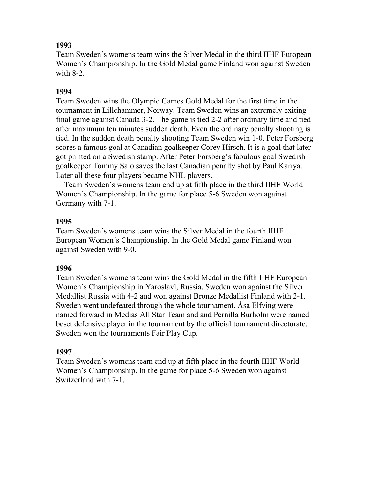Team Sweden´s womens team wins the Silver Medal in the third IIHF European Women´s Championship. In the Gold Medal game Finland won against Sweden with 8-2.

#### **1994**

Team Sweden wins the Olympic Games Gold Medal for the first time in the tournament in Lillehammer, Norway. Team Sweden wins an extremely exiting final game against Canada 3-2. The game is tied 2-2 after ordinary time and tied after maximum ten minutes sudden death. Even the ordinary penalty shooting is tied. In the sudden death penalty shooting Team Sweden win 1-0. Peter Forsberg scores a famous goal at Canadian goalkeeper Corey Hirsch. It is a goal that later got printed on a Swedish stamp. After Peter Forsberg's fabulous goal Swedish goalkeeper Tommy Salo saves the last Canadian penalty shot by Paul Kariya. Later all these four players became NHL players.

Team Sweden´s womens team end up at fifth place in the third IIHF World Women´s Championship. In the game for place 5-6 Sweden won against Germany with 7-1.

#### **1995**

Team Sweden´s womens team wins the Silver Medal in the fourth IIHF European Women´s Championship. In the Gold Medal game Finland won against Sweden with 9-0.

#### **1996**

Team Sweden´s womens team wins the Gold Medal in the fifth IIHF European Women´s Championship in Yaroslavl, Russia. Sweden won against the Silver Medallist Russia with 4-2 and won against Bronze Medallist Finland with 2-1. Sweden went undefeated through the whole tournament. Åsa Elfving were named forward in Medias All Star Team and and Pernilla Burholm were named beset defensive player in the tournament by the official tournament directorate. Sweden won the tournaments Fair Play Cup.

#### **1997**

Team Sweden´s womens team end up at fifth place in the fourth IIHF World Women´s Championship. In the game for place 5-6 Sweden won against Switzerland with 7-1.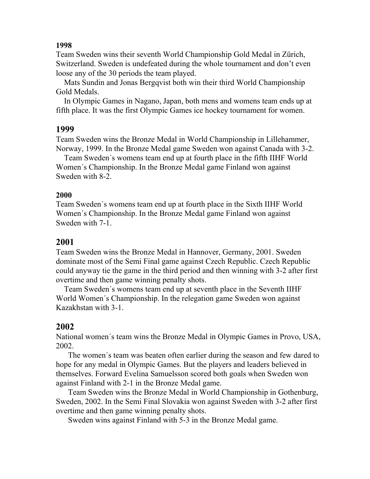Team Sweden wins their seventh World Championship Gold Medal in Zürich, Switzerland. Sweden is undefeated during the whole tournament and don't even loose any of the 30 periods the team played.

Mats Sundin and Jonas Bergqvist both win their third World Championship Gold Medals.

In Olympic Games in Nagano, Japan, both mens and womens team ends up at fifth place. It was the first Olympic Games ice hockey tournament for women.

#### **1999**

Team Sweden wins the Bronze Medal in World Championship in Lillehammer, Norway, 1999. In the Bronze Medal game Sweden won against Canada with 3-2.

Team Sweden´s womens team end up at fourth place in the fifth IIHF World Women´s Championship. In the Bronze Medal game Finland won against Sweden with 8-2.

#### **2000**

Team Sweden´s womens team end up at fourth place in the Sixth IIHF World Women´s Championship. In the Bronze Medal game Finland won against Sweden with 7-1.

## **2001**

Team Sweden wins the Bronze Medal in Hannover, Germany, 2001. Sweden dominate most of the Semi Final game against Czech Republic. Czech Republic could anyway tie the game in the third period and then winning with 3-2 after first overtime and then game winning penalty shots.

Team Sweden´s womens team end up at seventh place in the Seventh IIHF World Women´s Championship. In the relegation game Sweden won against Kazakhstan with 3-1.

## **2002**

National women´s team wins the Bronze Medal in Olympic Games in Provo, USA, 2002.

The women´s team was beaten often earlier during the season and few dared to hope for any medal in Olympic Games. But the players and leaders believed in themselves. Forward Evelina Samuelsson scored both goals when Sweden won against Finland with 2-1 in the Bronze Medal game.

Team Sweden wins the Bronze Medal in World Championship in Gothenburg, Sweden, 2002. In the Semi Final Slovakia won against Sweden with 3-2 after first overtime and then game winning penalty shots.

Sweden wins against Finland with 5-3 in the Bronze Medal game.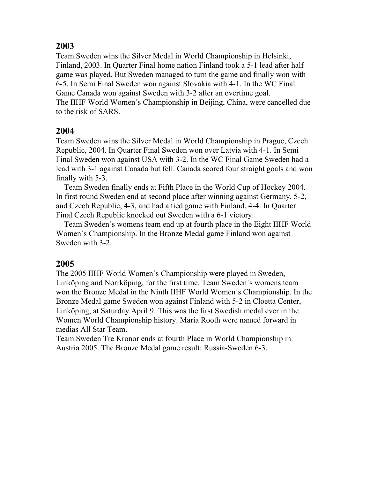Team Sweden wins the Silver Medal in World Championship in Helsinki, Finland, 2003. In Quarter Final home nation Finland took a 5-1 lead after half game was played. But Sweden managed to turn the game and finally won with 6-5. In Semi Final Sweden won against Slovakia with 4-1. In the WC Final Game Canada won against Sweden with 3-2 after an overtime goal. The IIHF World Women´s Championship in Beijing, China, were cancelled due to the risk of SARS.

## **2004**

Team Sweden wins the Silver Medal in World Championship in Prague, Czech Republic, 2004. In Quarter Final Sweden won over Latvia with 4-1. In Semi Final Sweden won against USA with 3-2. In the WC Final Game Sweden had a lead with 3-1 against Canada but fell. Canada scored four straight goals and won finally with 5-3.

Team Sweden finally ends at Fifth Place in the World Cup of Hockey 2004. In first round Sweden end at second place after winning against Germany, 5-2, and Czech Republic, 4-3, and had a tied game with Finland, 4-4. In Quarter Final Czech Republic knocked out Sweden with a 6-1 victory.

Team Sweden´s womens team end up at fourth place in the Eight IIHF World Women´s Championship. In the Bronze Medal game Finland won against Sweden with 3-2.

## **2005**

The 2005 IIHF World Women´s Championship were played in Sweden, Linköping and Norrköping, for the first time. Team Sweden´s womens team won the Bronze Medal in the Ninth IIHF World Women´s Championship. In the Bronze Medal game Sweden won against Finland with 5-2 in Cloetta Center, Linköping, at Saturday April 9. This was the first Swedish medal ever in the Women World Championship history. Maria Rooth were named forward in medias All Star Team.

Team Sweden Tre Kronor ends at fourth Place in World Championship in Austria 2005. The Bronze Medal game result: Russia-Sweden 6-3.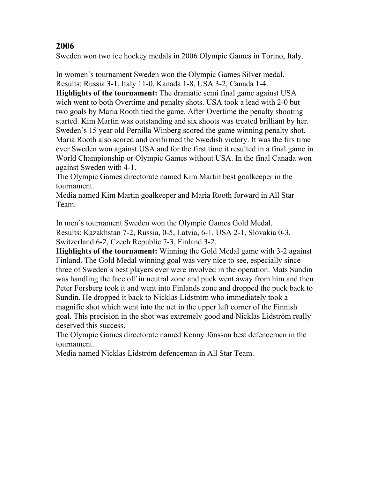Sweden won two ice hockey medals in 2006 Olympic Games in Torino, Italy.

In women´s tournament Sweden won the Olympic Games Silver medal. Results: Russia 3-1, Italy 11-0, Kanada 1-8, USA 3-2, Canada 1-4.

**Highlights of the tournament:** The dramatic semi final game against USA wich went to both Overtime and penalty shots. USA took a lead with 2-0 but two goals by Maria Rooth tied the game. After Overtime the penalty shooting started. Kim Martin was outstanding and six shoots was treated brilliant by her. Sweden´s 15 year old Pernilla Winberg scored the game winning penalty shot. Maria Rooth also scored and confirmed the Swedish victory. It was the firs time ever Sweden won against USA and for the first time it resulted in a final game in World Championship or Olympic Games without USA. In the final Canada won against Sweden with 4-1.

The Olympic Games directorate named Kim Martin best goalkeeper in the tournament.

Media named Kim Martin goalkeeper and Maria Rooth forward in All Star Team.

In men´s tournament Sweden won the Olympic Games Gold Medal.

Results: Kazakhstan 7-2, Russia, 0-5, Latvia, 6-1, USA 2-1, Slovakia 0-3, Switzerland 6-2, Czech Republic 7-3, Finland 3-2.

**Highlights of the tournament:** Winning the Gold Medal game with 3-2 against Finland. The Gold Medal winning goal was very nice to see, especially since three of Sweden´s best players ever were involved in the operation. Mats Sundin was handling the face off in neutral zone and puck went away from him and then Peter Forsberg took it and went into Finlands zone and dropped the puck back to Sundin. He dropped it back to Nicklas Lidström who immediately took a magnific shot which went into the net in the upper left corner of the Finnish goal. This precision in the shot was extremely good and Nicklas Lidström really deserved this success.

The Olympic Games directorate named Kenny Jönsson best defencemen in the tournament.

Media named Nicklas Lidström defenceman in All Star Team.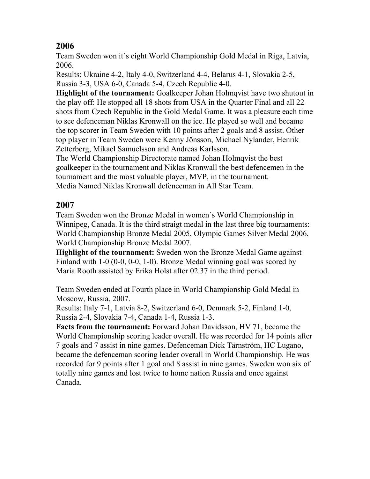Team Sweden won it´s eight World Championship Gold Medal in Riga, Latvia, 2006.

Results: Ukraine 4-2, Italy 4-0, Switzerland 4-4, Belarus 4-1, Slovakia 2-5, Russia 3-3, USA 6-0, Canada 5-4, Czech Republic 4-0.

**Highlight of the tournament:** Goalkeeper Johan Holmqvist have two shutout in the play off: He stopped all 18 shots from USA in the Quarter Final and all 22 shots from Czech Republic in the Gold Medal Game. It was a pleasure each time to see defenceman Niklas Kronwall on the ice. He played so well and became the top scorer in Team Sweden with 10 points after 2 goals and 8 assist. Other top player in Team Sweden were Kenny Jönsson, Michael Nylander, Henrik Zetterberg, Mikael Samuelsson and Andreas Karlsson.

The World Championship Directorate named Johan Holmqvist the best goalkeeper in the tournament and Niklas Kronwall the best defencemen in the tournament and the most valuable player, MVP, in the tournament. Media Named Niklas Kronwall defenceman in All Star Team.

# **2007**

Team Sweden won the Bronze Medal in women´s World Championship in Winnipeg, Canada. It is the third straigt medal in the last three big tournaments: World Championship Bronze Medal 2005, Olympic Games Silver Medal 2006, World Championship Bronze Medal 2007.

**Highlight of the tournament:** Sweden won the Bronze Medal Game against Finland with 1-0 (0-0, 0-0, 1-0). Bronze Medal winning goal was scored by Maria Rooth assisted by Erika Holst after 02.37 in the third period.

Team Sweden ended at Fourth place in World Championship Gold Medal in Moscow, Russia, 2007.

Results: Italy 7-1, Latvia 8-2, Switzerland 6-0, Denmark 5-2, Finland 1-0, Russia 2-4, Slovakia 7-4, Canada 1-4, Russia 1-3.

**Facts from the tournament:** Forward Johan Davidsson, HV 71, became the World Championship scoring leader overall. He was recorded for 14 points after 7 goals and 7 assist in nine games. Defenceman Dick Tärnström, HC Lugano, became the defenceman scoring leader overall in World Championship. He was recorded for 9 points after 1 goal and 8 assist in nine games. Sweden won six of totally nine games and lost twice to home nation Russia and once against Canada.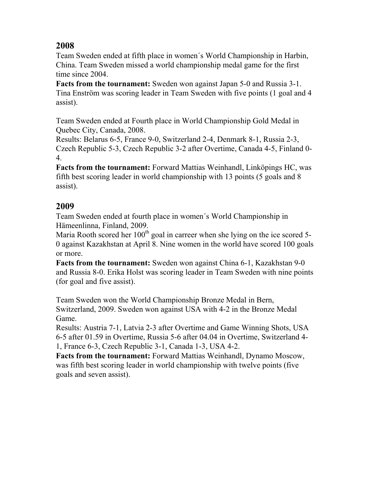Team Sweden ended at fifth place in women´s World Championship in Harbin, China. Team Sweden missed a world championship medal game for the first time since 2004.

**Facts from the tournament:** Sweden won against Japan 5-0 and Russia 3-1. Tina Enström was scoring leader in Team Sweden with five points (1 goal and 4 assist).

Team Sweden ended at Fourth place in World Championship Gold Medal in Quebec City, Canada, 2008.

Results: Belarus 6-5, France 9-0, Switzerland 2-4, Denmark 8-1, Russia 2-3, Czech Republic 5-3, Czech Republic 3-2 after Overtime, Canada 4-5, Finland 0- 4.

**Facts from the tournament:** Forward Mattias Weinhandl, Linköpings HC, was fifth best scoring leader in world championship with 13 points (5 goals and 8 assist).

# **2009**

Team Sweden ended at fourth place in women´s World Championship in Hämeenlinna, Finland, 2009.

Maria Rooth scored her  $100<sup>th</sup>$  goal in carreer when she lying on the ice scored 5-0 against Kazakhstan at April 8. Nine women in the world have scored 100 goals or more.

**Facts from the tournament:** Sweden won against China 6-1, Kazakhstan 9-0 and Russia 8-0. Erika Holst was scoring leader in Team Sweden with nine points (for goal and five assist).

Team Sweden won the World Championship Bronze Medal in Bern, Switzerland, 2009. Sweden won against USA with 4-2 in the Bronze Medal Game.

Results: Austria 7-1, Latvia 2-3 after Overtime and Game Winning Shots, USA 6-5 after 01.59 in Overtime, Russia 5-6 after 04.04 in Overtime, Switzerland 4- 1, France 6-3, Czech Republic 3-1, Canada 1-3, USA 4-2.

**Facts from the tournament:** Forward Mattias Weinhandl, Dynamo Moscow, was fifth best scoring leader in world championship with twelve points (five goals and seven assist).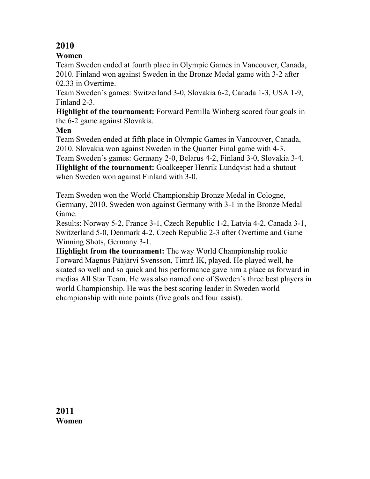## **Women**

Team Sweden ended at fourth place in Olympic Games in Vancouver, Canada, 2010. Finland won against Sweden in the Bronze Medal game with 3-2 after 02.33 in Overtime.

Team Sweden´s games: Switzerland 3-0, Slovakia 6-2, Canada 1-3, USA 1-9, Finland 2-3.

**Highlight of the tournament:** Forward Pernilla Winberg scored four goals in the 6-2 game against Slovakia.

#### **Men**

Team Sweden ended at fifth place in Olympic Games in Vancouver, Canada, 2010. Slovakia won against Sweden in the Quarter Final game with 4-3.

Team Sweden´s games: Germany 2-0, Belarus 4-2, Finland 3-0, Slovakia 3-4. **Highlight of the tournament:** Goalkeeper Henrik Lundqvist had a shutout when Sweden won against Finland with 3-0.

Team Sweden won the World Championship Bronze Medal in Cologne, Germany, 2010. Sweden won against Germany with 3-1 in the Bronze Medal Game.

Results: Norway 5-2, France 3-1, Czech Republic 1-2, Latvia 4-2, Canada 3-1, Switzerland 5-0, Denmark 4-2, Czech Republic 2-3 after Overtime and Game Winning Shots, Germany 3-1.

**Highlight from the tournament:** The way World Championship rookie Forward Magnus Pääjärvi Svensson, Timrå IK, played. He played well, he skated so well and so quick and his performance gave him a place as forward in medias All Star Team. He was also named one of Sweden´s three best players in world Championship. He was the best scoring leader in Sweden world championship with nine points (five goals and four assist).

**2011 Women**